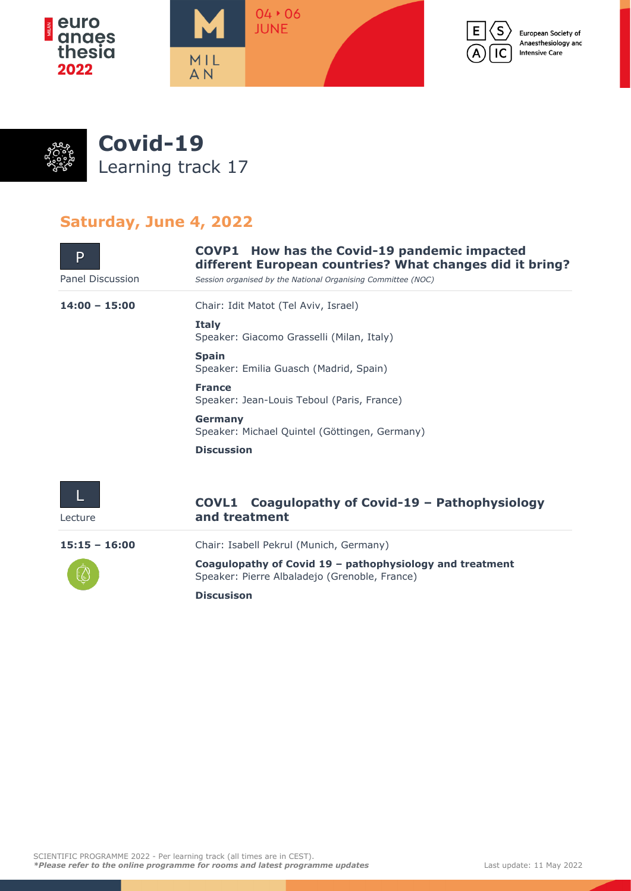



European Society of Anaesthesiology and **Intensive Care** 



## **Saturday, June 4, 2022**

| P<br>Panel Discussion | <b>COVP1</b> How has the Covid-19 pandemic impacted<br>different European countries? What changes did it bring?<br>Session organised by the National Organising Committee (NOC) |
|-----------------------|---------------------------------------------------------------------------------------------------------------------------------------------------------------------------------|
| $14:00 - 15:00$       | Chair: Idit Matot (Tel Aviv, Israel)                                                                                                                                            |
|                       | <b>Italy</b><br>Speaker: Giacomo Grasselli (Milan, Italy)                                                                                                                       |
|                       | <b>Spain</b><br>Speaker: Emilia Guasch (Madrid, Spain)                                                                                                                          |
|                       | <b>France</b><br>Speaker: Jean-Louis Teboul (Paris, France)                                                                                                                     |
|                       | Germany<br>Speaker: Michael Quintel (Göttingen, Germany)                                                                                                                        |
|                       | <b>Discussion</b>                                                                                                                                                               |
| Lecture               | Coagulopathy of Covid-19 - Pathophysiology<br><b>COVL1</b><br>and treatment                                                                                                     |
| $15:15 - 16:00$       | Chair: Isabell Pekrul (Munich, Germany)                                                                                                                                         |
|                       | Coagulopathy of Covid 19 - pathophysiology and treatment<br>Speaker: Pierre Albaladejo (Grenoble, France)                                                                       |
|                       | <b>Discusison</b>                                                                                                                                                               |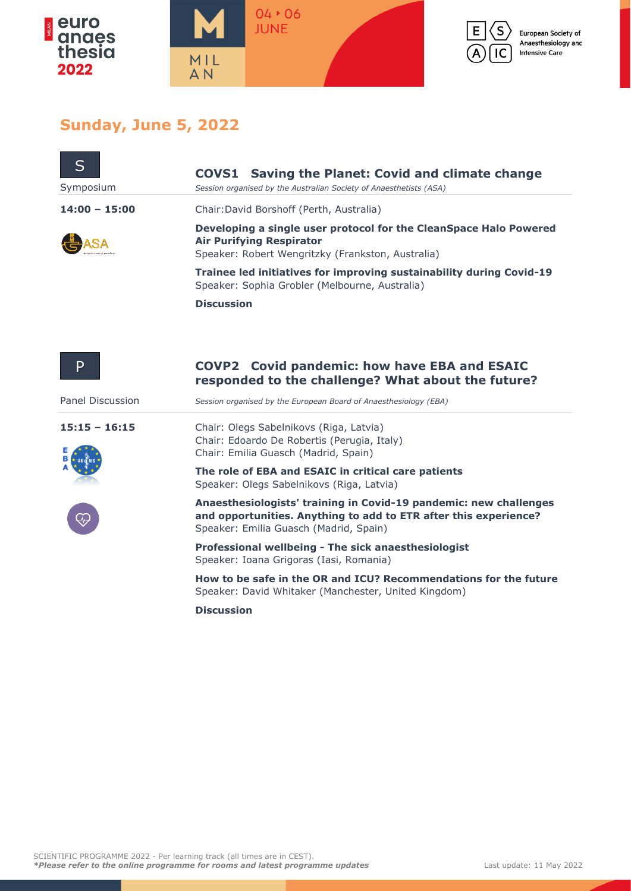





## **Sunday, June 5, 2022**

| S                                                                | <b>COVS1</b><br><b>Saving the Planet: Covid and climate change</b>                                                                                                              |
|------------------------------------------------------------------|---------------------------------------------------------------------------------------------------------------------------------------------------------------------------------|
| Symposium                                                        | Session organised by the Australian Society of Anaesthetists (ASA)                                                                                                              |
| $14:00 - 15:00$                                                  | Chair: David Borshoff (Perth, Australia)                                                                                                                                        |
|                                                                  | Developing a single user protocol for the CleanSpace Halo Powered<br><b>Air Purifying Respirator</b><br>Speaker: Robert Wengritzky (Frankston, Australia)                       |
|                                                                  | Trainee led initiatives for improving sustainability during Covid-19<br>Speaker: Sophia Grobler (Melbourne, Australia)                                                          |
|                                                                  | <b>Discussion</b>                                                                                                                                                               |
| P                                                                | COVP2 Covid pandemic: how have EBA and ESAIC<br>responded to the challenge? What about the future?                                                                              |
| Panel Discussion                                                 | Session organised by the European Board of Anaesthesiology (EBA)                                                                                                                |
| $15:15 - 16:15$<br>$\widetilde{\left\langle \psi\right\rangle }$ | Chair: Olegs Sabelnikovs (Riga, Latvia)<br>Chair: Edoardo De Robertis (Perugia, Italy)<br>Chair: Emilia Guasch (Madrid, Spain)                                                  |
|                                                                  | The role of EBA and ESAIC in critical care patients<br>Speaker: Olegs Sabelnikovs (Riga, Latvia)                                                                                |
|                                                                  | Anaesthesiologists' training in Covid-19 pandemic: new challenges<br>and opportunities. Anything to add to ETR after this experience?<br>Speaker: Emilia Guasch (Madrid, Spain) |

**Professional wellbeing - The sick anaesthesiologist** Speaker: Ioana Grigoras (Iasi, Romania)

**How to be safe in the OR and ICU? Recommendations for the future** Speaker: David Whitaker (Manchester, United Kingdom)

**Discussion**